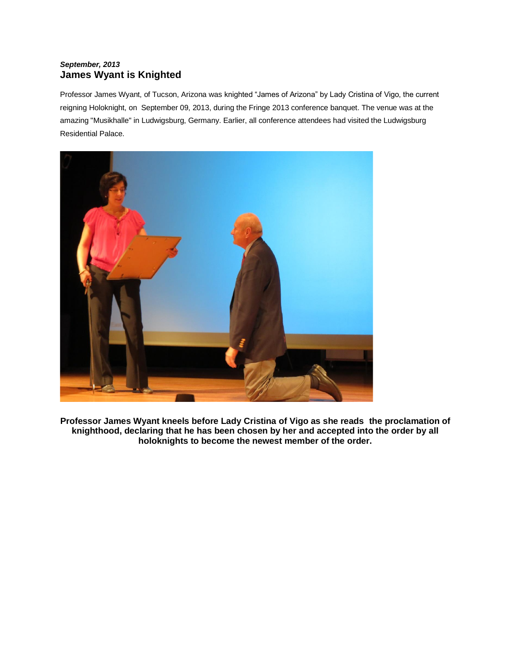## *September, 2013* **James Wyant is Knighted**

Professor James Wyant, of Tucson, Arizona was knighted "James of Arizona" by Lady Cristina of Vigo, the current reigning Holoknight, on September 09, 2013, during the Fringe 2013 conference banquet. The venue was at the amazing "Musikhalle" in Ludwigsburg, Germany. Earlier, all conference attendees had visited the Ludwigsburg Residential Palace.



**Professor James Wyant kneels before Lady Cristina of Vigo as she reads the proclamation of knighthood, declaring that he has been chosen by her and accepted into the order by all holoknights to become the newest member of the order.**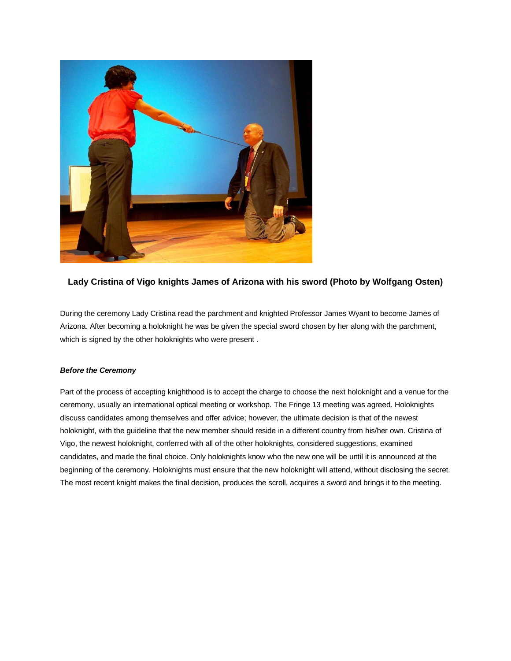

## **Lady Cristina of Vigo knights James of Arizona with his sword (Photo by Wolfgang Osten)**

During the ceremony Lady Cristina read the parchment and knighted Professor James Wyant to become James of Arizona. After becoming a holoknight he was be given the special sword chosen by her along with the parchment, which is signed by the other holoknights who were present .

## *Before the Ceremony*

Part of the process of accepting knighthood is to accept the charge to choose the next holoknight and a venue for the ceremony, usually an international optical meeting or workshop. The Fringe 13 meeting was agreed. Holoknights discuss candidates among themselves and offer advice; however, the ultimate decision is that of the newest holoknight, with the guideline that the new member should reside in a different country from his/her own. Cristina of Vigo, the newest holoknight, conferred with all of the other holoknights, considered suggestions, examined candidates, and made the final choice. Only holoknights know who the new one will be until it is announced at the beginning of the ceremony. Holoknights must ensure that the new holoknight will attend, without disclosing the secret. The most recent knight makes the final decision, produces the scroll, acquires a sword and brings it to the meeting.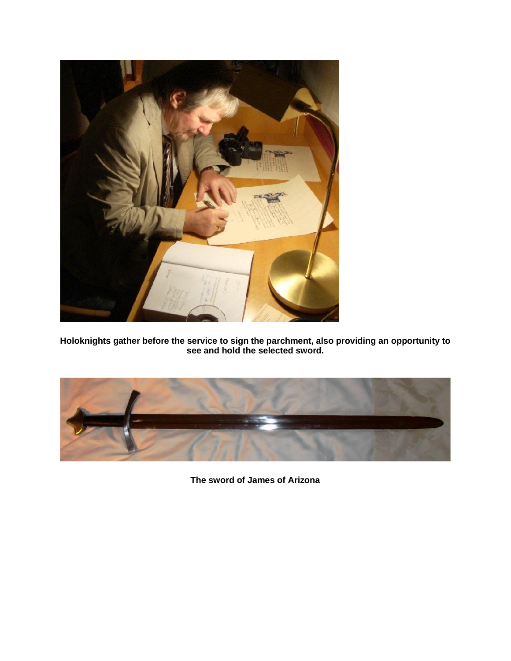

**Holoknights gather before the service to sign the parchment, also providing an opportunity to see and hold the selected sword.**



**The sword of James of Arizona**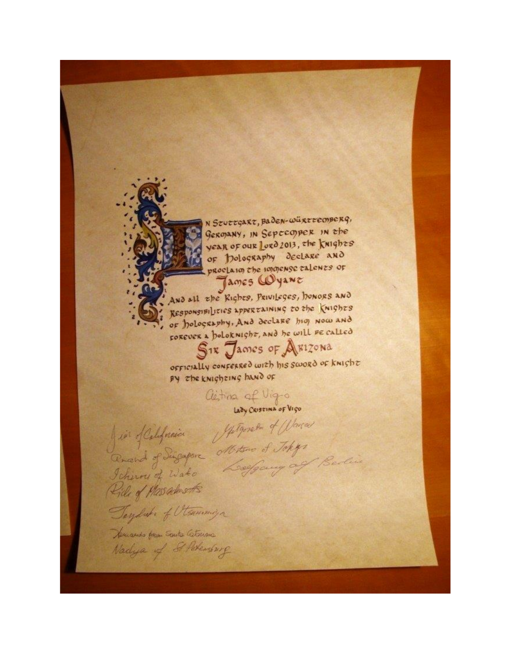N STUTTGART, Baden-WürttemBERG, GERMANY, IN SEPECOPER IN the year of our Lord 2013, the knights of Dolography declare and proclaim the immense talents of James Wyane

AND all the Rights, PRIVILeges, honors and RESPONSIBILITIES APPERTAINING TO the KNIGhts of holography, And declare hig Now and FOREVER a poloknight, and he will be called

SIR James of ARIZONA officially conferred with his sword of knight By the knighting hand of

Clétima of Vigo

Juin d'Alphain Monten d'Alexandre<br>Concert of Discapon Motors d'Ichyn<br>Ichinne of Wake Loffery of Berlin Toylat of Otswangs

Heriando from Santa Catorina Nadya of Stevensorg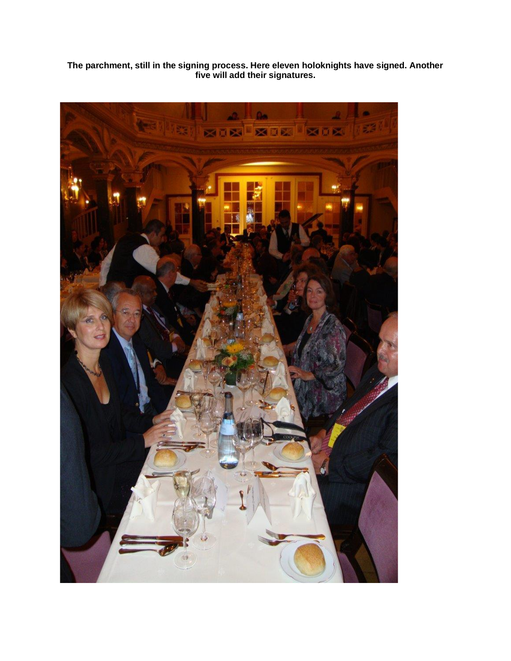**The parchment, still in the signing process. Here eleven holoknights have signed. Another five will add their signatures.**

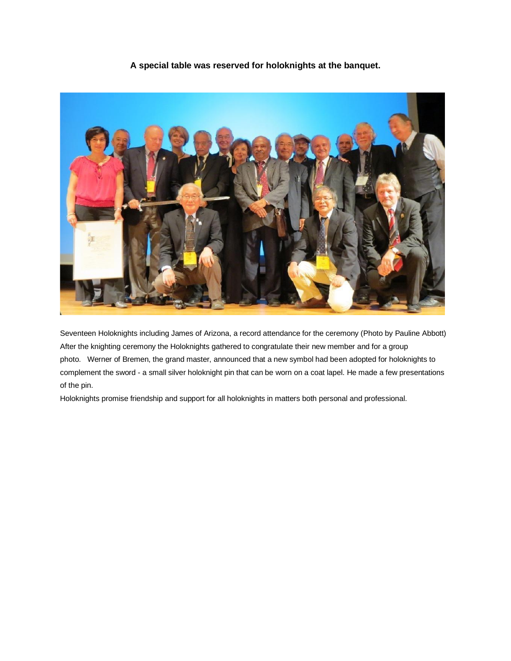## **A special table was reserved for holoknights at the banquet.**



Seventeen Holoknights including James of Arizona, a record attendance for the ceremony (Photo by Pauline Abbott) After the knighting ceremony the Holoknights gathered to congratulate their new member and for a group photo. Werner of Bremen, the grand master, announced that a new symbol had been adopted for holoknights to complement the sword - a small silver holoknight pin that can be worn on a coat lapel. He made a few presentations of the pin.

Holoknights promise friendship and support for all holoknights in matters both personal and professional.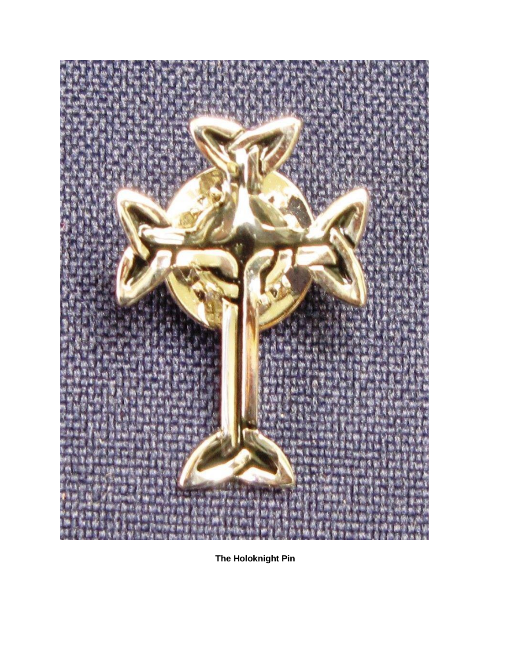

**The Holoknight Pin**